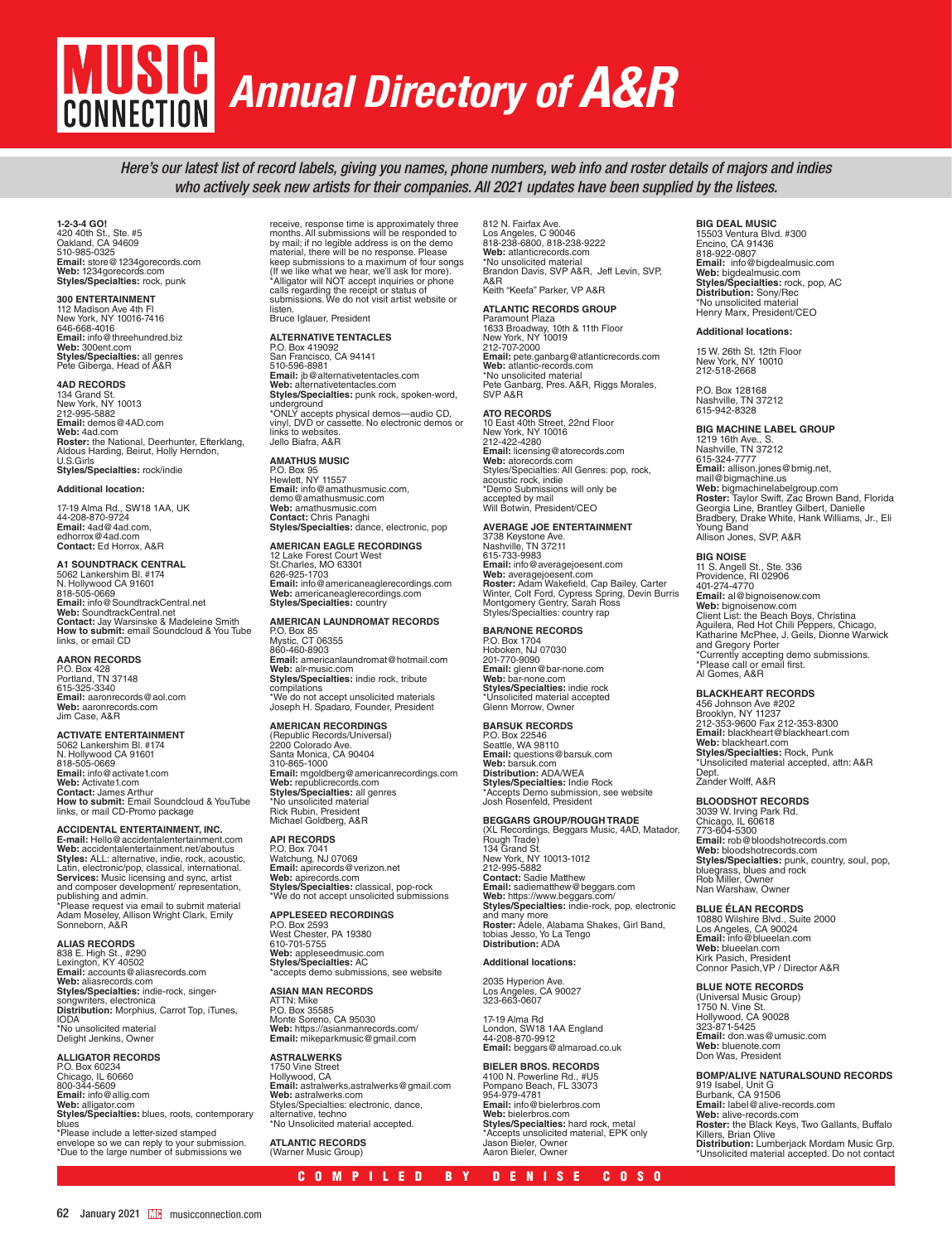## MUSICI *Annual Directory of A&R***CONNECTION**

*Here's our latest list of record labels, giving you names, phone numbers, web info and roster details of majors and indies who actively seek new artists for their companies. All 2021 updates have been supplied by the listees.* 

**1-2-3-4 GO!**<br>420 40th St., Ste. #5<br>Oakland, CA 94609<br>510-985-0325 **Email:** store@1234gorecords.com<br>**Web:** 1234gorecords.com<br>**Styles/Specialties:** rock, punk

## **300 ENTERTAINMENT**

112 Madison Ave 4th Fl New York, NY 10016-7416 646-668-4016 **Email:** info@threehundred.biz<br>**Web:** 300ent.com<br>**Styles/Specialties:** all genres<br>Pete Giberga, Head of A&R

#### **4AD RECORDS**

134 Grand St. New York, NY 10013 212-995-5882<br>**Email:** demos@4AD.com Web: 4ad.com<br>**Roster:** the National, Deerhunter, Efterklang, Aldous Harding, Beirut, Holly Herndon, U.S.Girls **Styles/Specialties:** rock/indie

#### **Additional location:**

17-19 Alma Rd., SW18 1AA, UK 44-208-870-9724 **Email:** 4ad@4ad.com, edhorrox@4ad.com **Contact:** Ed Horrox, A&R

#### **A1 SOUNDTRACK CENTRAL**

5062 Lankershim Bl. #174 N. Hollywood CA 91601 818-505-0669 **Email:** info@SoundtrackCentral.net **Web:** SoundtrackCentral.net **Contact:** Jay Warsinske & Madeleine Smith **How to submit:** email Soundcloud & You Tube links, or email CD

**AARON RECORDS**<br>P.O. Box 428<br>Portland, TN 37148<br>615-325-3340 **Email:** aaronrecords@aol.com **Web:** aaronrecords.com Jim Case, A&R

#### **ACTIVATE ENTERTAINMENT**

5062 Lankershim Bl. #174 N. Hollywood CA 91601 818-505-0669 **Email:** info@activate1.com **Web:** Activate1.com **Contact:** James Arthur **How to submit:** Email Soundcloud & YouTube links, or mail CD-Promo package

#### **ACCIDENTAL ENTERTAINMENT, INC.**

**E-mail:** Hello@accidentalentertainment.com<br>**Web:** accidentalentertainment.net/aboutus<br>**Styles:** ALL: alternative, indie, rock, acoustic, Latin, electronic/pop, classical, international. **Services:** Music licensing and sync, artist and composer development/ representation, publishing and admin. \*Please request via email to submit material Adam Moseley, Allison Wright Clark, Emily Sonneborn, A&R

**ALIAS RECORDS**<br>838 E. High St., #290<br>Lexington, KY 40502

**Email:** accounts@aliasrecords.com **Web:** aliasrecords.com **Styles/Specialties:** indie-rock, singersongwriters, electronica **Distribution:** Morphius, Carrot Top, iTunes, IODA \*No unsolicited material Delight Jenkins, Owner

**ALLIGATOR RECORDS**  P.O. Box 60234 Chicago, IL 60660 800-344-5609 **Email:** info@allig.com **Web:** alligator.com **Styles/Specialties:** blues, roots, contemporary<br>blues \*Please include a letter-sized stamped

envelope so we can reply to your submission. \*Due to the large number of submissions we

months. All submissions will be responded to by mail; if no legible address is on the demo material, there will be no response. Please keep submissions to a maximum of four songs (If we like what we hear, we'll ask for more). \*Alligator will NOT accept inquiries or phone calls regarding the receipt or status of submissions. We do not visit artist website or listen.

Bruce Iglauer, President

## **ALTERNATIVE TENTACLES**

P.O. Box 419092 San Francisco, CA 94141 510-596-8981 **Email:** jb@alternativetentacles.com **Web:** alternativetentacles.com **Styles/Specialties:** punk rock, spoken-word, underground \*ONLY accepts physical demos—audio CD, vinyl, DVD or cassette. No electronic demos or

links to websites. Jello Biafra, A&R

## **AMATHUS MUSIC**

P.O. Box 95 Hewlett, NY 11557 **Email:** info@amathusmusic.com, demo@amathusmusic.com **Web:** amathusmusic.com<br>**Contact:** Chris Panaghi<br>**Styles/Specialties:** dance, electronic, pop

**AMERICAN EAGLE RECORDINGS<br>12 Lake Forest Court West<br>St.Charles, MO 63301** 626-925-1703<br>**Email**: info@americaneaglerecordings.com<br>**Web:** americaneaglerecordings.com<br>**Styles/Specialties:** country

#### **AMERICAN LAUNDROMAT RECORDS**

P.O. Box 85 Mystic, CT 06355 860-460-8903 **Email:** americanlaundromat@hotmail.com<br>**Web:** alr-music.com<br>**Styles/Specialties:** indie rock, tribute<br>compilations \*We do not accept unsolicited materials Joseph H. Spadaro, Founder, President

#### **AMERICAN RECORDINGS**  (Republic Records/Universal)

2200 Colorado Ave. Santa Monica, CA 90404 310-865-1000 **Email:** mgoldberg@americanrecordings.com **Web:** republicrecords.com **Styles/Specialties:** all genres<br>\*No unsolicited material<br>Rick Rubin, President<br>Michael Goldberg, A&R

**API RECORDS**<br>P.O. Box 7041<br>Watchung, NJ 07069<br>**Email:** apirecords.com<br>**Web:** apirecords.com<br>**Styles/Specialties**: classical, pop-rock<br>\*We do not accept unsolicited submissions

#### **APPLESEED RECORDINGS** P.O. Box 2593 West Chester, PA 19380 610-701-5755 **Web:** appleseedmusic.com **Styles/Specialties:** AC

\*accepts demo submissions, see website **ASIAN MAN RECORDS**

#### ATTN: Mike

P.O. Box 35585 Monte Soreno, CA 95030 **Web:** https://asianmanrecords.com/ **Email:** mikeparkmusic@gmail.com

#### **ASTRALWERKS** 1750 Vine Street

Hollywood, CA **Email:** astralwerks.astralwerks@gmail.com **Web:** astralwerks.com<br>Styles/Specialties: electronic, dance,<br>alternative, techno<br>\*No Unsolicited material accepted.

**ATLANTIC RECORDS**  (Warner Music Group)

812 N. Fairfax Ave.<br>Los Angeles, C 90046<br>818-238-6800, 818-238-9222<br>**Web:** atlanticrecords.com<br>\*No unsolicited material<br>Brandon Davis, SVP A&R, Jeff Levin, SVP, A&R Keith "Keefa" Parker, VP A&R

#### **ATLANTIC RECORDS GROUP**

Paramount Plaza 1633 Broadway, 10th & 11th Floor New York, NY 10019 212-707-2000<br>**Email:** pete.ganbarg@atlanticrecords.com<br>**Web:** atlantic-records.com<br>\*No unsolicited material Pete Ganbarg, Pres. A&R, Riggs Morales, SVP A&R

**ATO RECORDS**<br>10 East 40th Street, 22nd Floor<br>New York, NY 10016<br>212-422-4280 **Email:** licensing@atorecords.com **Web:** atorecords.com Styles/Specialties: All Genres: pop, rock, acoustic rock, indie \*Demo Submissions will only be accepted by mail Will Botwin, President/CEO

#### **AVERAGE JOE ENTERTAINMENT**

3738 Keystone Ave. Nashville, TN 37211 615-733-9983 **Email:** info@averagejoesent.com<br>**Web:** averagejoesent.com<br>**Roster:** Adam Wakefield, Cap Bailey, Carter<br>Winter, Colt Ford, Cypress Spring, Devin Burris<br>Montgomery Gentry, Sarah Ross<br>Styles/Specialties: country rap

#### **BAR/NONE RECORDS**

P.O. Box 1704 Hoboken, NJ 07030 201-770-9090 **Email:** glenn@bar-none.com **Web:** bar-none.com **Styles/Specialties:** indie rock \*Unsolicited material accepted Glenn Morrow, Owner

#### **BARSUK RECORDS** P.O. Box 22546 Seattle, WA 98110<br>Email: questions@barsuk.com **Email:** questions@barsuk.com<br>**Web:** barsuk.com<br>**Distribution:** ADA/WEA **Styles/Specialties:** Indie Rock<br>\*Accepts Demo submission, see website Josh Rosenfeld, President

#### **BEGGARS GROUP/ROUGH TRADE**

(XL Recordings, Beggars Music, 4AD, Matador,<br>Rough Trade)<br>134 Grand St.<br>New York, NY 10013-1012 212-995-5882 **Contact: Sadie Matthew<br>
<b>Email:** sadiematthew@beggars.com **Styles/Specialties:** indie-rock, pop, electronic<br>and many more<br>**Roster:** Adele, Alabama Shakes, Girl Band,<br>tobias Jesso, Yo La Tengo<br>**Distribution:** ADA

#### **Additional locations:**

2035 Hyperion Ave. Los Angeles, CA 90027 323-663-0607 17-19 Alma Rd

## London, SW18 1AA England 44-208-870-9912 **Email:** beggars@almaroad.co.uk

#### **BIELER BROS. RECORDS**

4100 N. Powerline Rd., #U5 Pompano Beach, FL 33073 954-979-4781 **Email:** info@bielerbros.com **Web:** bielerbros.com **Styles/Specialties:** hard rock, metal \*Accepts unsolicited material, EPK only Jason Bieler, Owner Aaron Bieler, Owner

#### **BIG DEAL MUSIC**

15503 Ventura Blvd. #300 Encino, CA 91436 818-922-0807 **Email:** info@bigdealmusic.com **Web:** bigdealmusic.com **Styles/Specialties:** rock, pop, AC **Distribution:** Sony/Rec \*No unsolicited material Henry Marx, President/CEO

#### **Additional locations:**

15 W. 26th St. 12th Floor New York, NY 10010 212-518-2668

P.O. Box 128168 Nashville, TN 37212 615-942-8328

#### **BIG MACHINE LABEL GROUP**

1219 16th Ave., S. Nashville, TN 37212 615-324-7777 **Email:** allison.jones@bmig.net, mail@bigmachine.us **Web:** bigmachinelabelgroup.com<br>**Roster:** Taylor Swift, Zac Brown Band, Florida<br>Georgia Line, Brantley Gilbert, Danielle<br>Bradbery, Drake White, Hank Williams, Jr., Eli Young Band Allison Jones, SVP, A&R

#### **BIG NOISE**

11 S. Angell St., Ste. 336 Providence, RI 02906 401-274-4770 **Email:** al@bignoisenow.com **Web:** bignoisēnow.com<br>Client List: the Beach Boys, Christina<br>Aguilera, Red Hot Chili Peppers, Chicago, Katharine McPhee, J. Geils, Dionne Warwick and Gregory Porter \*Currently accepting demo submissions. \*Please call or email first. Al Gomes, A&R

**BLACKHEART RECORDS<br>456 Johnson Ave #202<br>Brooklyn, NY 11237<br>212-353-9600 Fax 212-353-8300<br><b>Email**: blackheart.com<br>**Web:** blackheart.com **Styles/Specialties:** Rock, Punk \*Unsolicited material accepted, attn: A&R Dept. Zander Wolff, A&R

**BLOODSHOT RECORDS** 3039 W. Irving Park Rd. Chicago, IL 60618 773-604-5300 **Email:** rob@bloodshotrecords.com **Web:** bloodshotrecords.com **Styles/Specialties:** punk, country, soul, pop,<br>bluegrass, blues and rock<br>Rob Miller, Owner Nan Warshaw, Owner

#### **BLUE ÉLAN RECORDS**

10880 Wilshire Blvd., Suite 2000 Los Angeles, CA 90024 **Email:** info@blueelan.com **Web:** blueelan.com Kirk Pasich, President Connor Pasich,VP / Director A&R

#### **BLUE NOTE RECORDS**

(Universal Music Group)<br>1750 N. Vine St.<br>Hollywood, CA 90028<br>323-871-5425<br>**Email:** don.was@umusic.com **Web:** bluenote.com Don Was, President

## **BOMP/ALIVE NATURALSOUND RECORDS<br>919 Isabel, Unit G<br>Burbank, CA 91506 Email:** label@alive-records.com **Web:** alive-records.com **Roster:** the Black Keys, Two Gallants, Buffalo Killers, Brian Olive **Distribution:** Lumberjack Mordam Music Grp. \*Unsolicited material accepted. Do not contact

# receive, response time is approximately three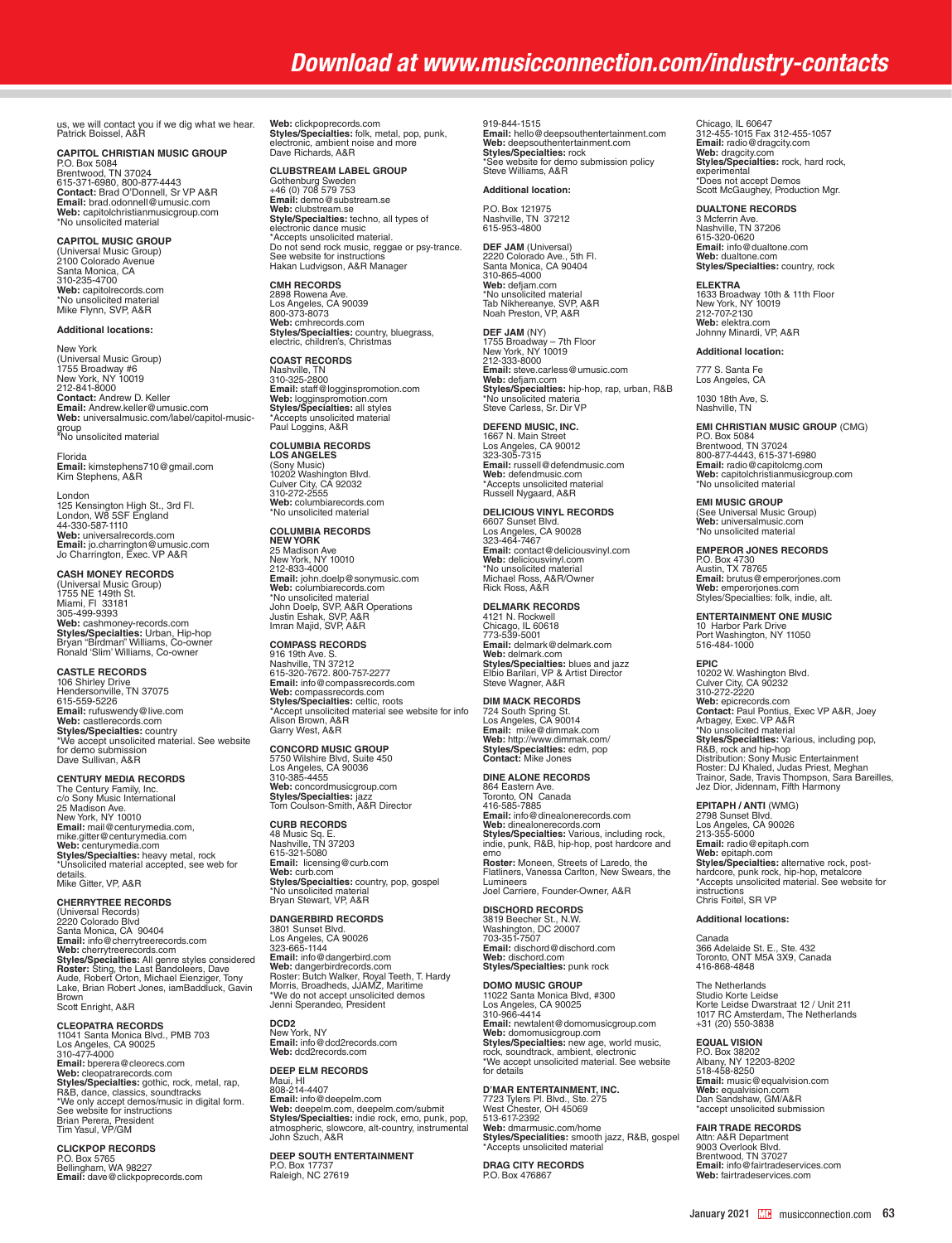## *Download at www.musicconnection.com/industry-contacts*

us, we will contact you if we dig what we hear. Patrick Boissel, A&R

**CAPITOL CHRISTIAN MUSIC GROUP<br>P.O. Box 5084<br>Brentwood, TN 37024<br>615-371-6980, 800-877-4443** 

**Contact:** Brad O'Donnell, Sr VP A&R **Email:** brad.odonnell@umusic.com **Web:** capitolchristianmusicgroup.com \*No unsolicited material

## **CAPITOL MUSIC GROUP**

(Universal Music Group) 2100 Colorado Avenue Santa Monica, CA 310-235-4700 **Web:** capitolrecords.com \*No unsolicited material Mike Flynn, SVP, A&R

#### **Additional locations:**

New York (Universal Music Group) 1755 Broadway #6 New York, NY 10019 212-841-8000 **Contact:** Andrew D. Keller **Email:** Andrew.keller@umusic.com **Web:** universalmusic.com/label/capitol-musicgroup \*No unsolicited material

Florida **Email:** kimstephens710@gmail.com Kim Stephens, A&R

London 125 Kensington High St., 3rd Fl. London, W8 5SF England 44-330-587-1110 **Web:** universalrecords.com **Email:** jo.charrington@umusic.com Jo Charrington, Exec. VP A&R

**CASH MONEY RECORDS**<br>(Universal Music Group)<br>1755 NE 149th St.<br>Miami, Fl 33181<br>305-499-9393<br>**Web:** cashmoney-records.com **Styles/Specialties:** Urban, Hip-hop Bryan "Birdman" Williams, Co-owner Ronald 'Slim' Williams, Co-owner

**CASTLE RECORDS** 106 Shirley Drive Hendersonville, TN 37075 615-559-5226 **Email:** rufuswendy@live.com **Web:** castlerecords.com **Styles/Specialties:** country \*We accept unsolicited material. See website for demo submission Dave Sullivan, A&R

#### **CENTURY MEDIA RECORDS**

The Century Family, Inc. c/o Sony Music International 25 Madison Ave. New York, NY 10010 **Email:** mail@centurymedia.com,<br>mike.gitter@centurymedia.com<br>**Web:** centurymedia.com<br>**Styles/Specialties:** heavy metal, rock \*Unsolicited material accepted, see web for details. Mike Gitter, VP, A&R

**CHERRYTREE RECORDS**  (Universal Records) 2220 Colorado Blvd Santa Monica, CA 90404 **Email:** info@cherrytreerecords.com **Web:** cherrytreerecords.com **Styles/Specialties:** All genre styles considered<br>**Roster:** Sting, the Last Bandoleers, Dave<br>Aude, Robert Orton, Michael Eienziger, Tony<br>Lake, Brian Robert Jones, iamBaddluck, Gavin **Brow** 

Scott Enright, A&R

**CLEOPATRA RECORDS<br>11041 Santa Monica Blvd., PMB 703<br>Los Angeles, CA 90025<br>310-477-4000** 

Email: bperera@cleorecs.com<br>Web: cleopatrarecords.com<br>Styles/Specialties: gothic, rock, metal, rap,<br>R&B, dance, classics, soundtracks<br>\*We only accept demos/music in digital form.<br>See website for instructions Brian Perera, President Tim Yasul, VP/GM

**CLICKPOP RECORDS** P.O. Box 5765 Bellingham, WA 98227 **Email:** dave@clickpoprecords.com

**Web:** clickpoprecords.com<br>**Styles/Specialties:** folk, metal, pop, punk,<br>electronic, ambient noise and more<br>Dave Richards, A&R

#### **CLUBSTREAM LABEL GROUP**

Gothenburg Sweden +46 (0) 708 579 753 **Email:** demo@substream.se **Web:** clubstream.se<br>Style/Specialties: techno, all types of<br>electronic dance music<br>\*Accepts unsolicited material. Do not send rock music, reggae or psy-trance. See website for instructions Hakan Ludvigson, A&R Manager

**CMH RECORDS**  2898 Rowena Ave.<br>Los Angeles, CA 90039<br>800-373-8073<br>**Web:** cmhrecords.com<br>**Styles/Specialties:** country, bluegrass,<br>electric, children's, Christmas

**COAST RECORDS** Nashville, TN 310-325-2800 **Email:** staff@logginspromotion.com **Web:** logginspromotion.com<br>**Styles/Specialties:** all styles<br>\*Accepts unsolicited material<br>Paul Loggins, A&R

**COLUMBIA RECORDS LOS ANGELES** (Sony Music) 10202 Washington Blvd. Culver City, CA 92032 310-272-2555 **Web:** columbiarecords.com \*No unsolicited material

### **COLUMBIA RECORDS**

**NEW YORK**<br>25 Madison Ave<br>New York, NY 10010<br>212-833-4000 **Email:** john.doelp@sonymusic.com **Web:** columbiarecords.com \*No unsolicited material John Doelp, SVP, A&R Operations Justin Eshak, SVP, A&R Imran Majid, SVP, A&R

**COMPASS RECORDS**  916 19th Ave. S. Nashville, TN 37212 615-320-7672. 800-757-2277 **Email:** info@compassrecords.com **Web:** compassrecords.com **Styles/Specialties:** celtic, roots<br>\*Accept unsolicited material see website for info<br>Alison Brown, A&R<br>Garry West, A&R

**CONCORD MUSIC GROUP** 5750 Wilshire Blvd, Suite 450 Los Angeles, CA 90036 310-385-4455 **Web:** concordmusicgroup.com **Styles/Specialties:** jazz Tom Coulson-Smith, A&R Director

**CURB RECORDS**  48 Music Sq. E. Nashville, TN 37203 615-321-5080 **Email:** licensing@curb.com<br>**Web:** curb.com<br>**Styles/Specialties:** country, pop, gospel<br>\*No unsolicited material<br>Bryan Stewart, VP, A&R

**DANGERBIRD RECORDS** 3801 Sunset Blvd. Los Angeles, CA 90026 323-665-1144 **Email:** info@dangerbird.com<br>**Web:** dangerbirdrecords.com<br>Roster: Butch Walker, Royal Teeth, T. Hardy<br>Morris, Broadheds, JJAMZ, Maritime \*We do not accept unsolicited demos Jenni Sperandeo, President

**DCD2** New York, NY **Email:** info@dcd2records.com **Web:** dcd2records.com

**DEEP ELM RECORDS**  Maui, HI 808-214-4407 **Email:** info@deepelm.com<br>**Web:** deepelm.com, deepelm.com/submit<br>**Styles/Specialties:** indie rock, emo, punk, pop,<br>atmospheric, slowcore, alt-country, instrumental<br>John Szuch, A&R

**DEEP SOUTH ENTERTAINMENT** P.O. Box 17737 Raleigh, NC 27619

919-844-1515<br>Email: hello@deepsouthentertainment.com **Email:** hello@deepsouthentertainment.com **Web:** deepsouthentertainment.com **Styles/Specialties:** rock<br>\*See website for demo submission policy Steve Williams, A&R

#### **Additional location:**

P.O. Box 121975 Nashville, TN 37212 615-953-4800

**DEF JAM** (Universal) 2220 Colorado Ave., 5th Fl. Santa Monica, CA 90404 310-865-4000 **Web:** defjam.com \*No unsolicited material Tab Nikhereanye, SVP, A&R Noah Preston, VP, A&R

**DEF JAM** (NY) 1755 Broadway – 7th Floor New York, NY 10019 212-333-8000 **Email:** steve.carless@umusic.com<br>**Web:** defjam.com<br>**Styles/Specialties:** hip-hop, rap, urban, R&B No unsolicited materia Steve Carless, Sr. Dir VP

**DEFEND MUSIC, INC.** 1667 N. Main Street Los Angeles, CA 90012 323-305-7315 **Email:** russell@defendmusic.com **Web:** defendmusic.com<br>\*Accepts unsolicited material<br>Russell Nygaard, A&R

**DELICIOUS VINYL RECORDS**<br>6607 Sunset Blvd.<br>Los Angeles, CA 90028<br>323-464-7467 **Email:** contact@deliciousvinyl.com **Web:** deliciousvinyl.com \*No unsolicited material Michael Ross, A&R/Owner Rick Ross, A&R

**DELMARK RECORDS**  4121 N. Rockwell Chicago, IL 60618 773-539-5001 **Email:** delmark@delmark.com<br>**Web:** delmark.com<br>**Styles/Specialties:** blues and jazz<br>Elbio Barilari, VP & Artist Director<br>Steve Wagner, A&R

### **DIM MACK RECORDS**

724 South Spring St. Los Angeles, CA 90014 **Email:** mike@dimmak.com **Web:** http://www.dimmak.com/ **Styles/Specialties:** edm, pop **Contact:** Mike Jones

**DINE ALONE RECORDS**

864 Eastern Ave.<br>Toronto, ON Canada<br>416-585-7885<br>**Email:** info@dinealonerecords.com<br>**Styles/Specialtie**s: Various, including rock,<br>S**tyles/Specialties:** Various, including rock,<br>indie, punk, R&B, hip-hop, post hardcore and emo **Roster:** Moneen, Streets of Laredo, the Flatliners, Vanessa Carlton, New Swears, the Lumineers Joel Carriere, Founder-Owner, A&R

**DISCHORD RECORDS**<br>3819 Beecher St., N.W.<br>Washington, DC 20007<br>703-351-7507 **Email:** dischord@dischord.com **Web:** dischord.com **Styles/Specialties:** punk rock

#### **DOMO MUSIC GROUP**

11022 Santa Monica Blvd, #300 Los Angeles, CA 90025 310-966-4414 **Email:** newtalent@domomusicgroup.com<br>**Web:** domomusicgroup.com<br>**Styles/Specialties:** new age, world music,<br>rock, soundtrack, ambient, electronic<br>\*We accept unsolicited material. See website for details

#### **D'MAR ENTERTAINMENT, INC.**

7723 Tylers Pl. Blvd., Ste. 275 West Chester, OH 45069 513-617-2392 **Web:** dmarmusic.com/home **Styles/Specialities:** smooth jazz, R&B, gospel \*Accepts unsolicited material

**DRAG CITY RECORDS** P.O. Box 47686

Chicago, IL 60647 312-455-1015 Fax 312-455-1057 **Email:** radio@dragcity.com **Web:** dragcity.com **Styles/Specialties:** rock, hard rock, experimental \*Does not accept Demos Scott McGaughey, Production Mgr.

**DUALTONE RECORDS**

3 Mcferrin Ave. Nashville, TN 37206 615-320-0620 **Email:** info@dualtone.com **Web:** dualtone.com **Styles/Specialties:** country, rock

**ELEKTRA**<br>1633 Broadway 10th & 11th Floor<br>New York, NY 10019 212-707-2130<br>**Web:** elektra.com<br>Johnny Minardi, VP, A&R

#### **Additional location:**

777 S. Santa Fe Los Angeles, CA

1030 18th Ave, S. Nashville, TN

#### **EMI CHRISTIAN MUSIC GROUP** (CMG)

P.O. Box 5084<br>Brentwood, TN 37024<br>800-877-4443, 615-371-6980<br>**Email:** radio@capitolcmg.com<br>**Web:** capitolchristianmusicgroup.com<br>\*No unsolicited material

**EMI MUSIC GROUP**  (See Universal Music Group)<br>**Web:** universalmusic.com<br>\*No unsolicited material

**EMPEROR JONES RECORDS**

P.O. Box 4730 Austin, TX 78765 **Email:** brutus@emperorjones.com<br>**Web:** emperorjones.com<br>Styles/Specialties: folk, indie, alt.

**ENTERTAINMENT ONE MUSIC** 10 Harbor Park Drive Port Washington, NY 11050 516-484-1000

**EPIC**  10202 W. Washington Blvd. Culver City, CA 90232 310-272-2220 **Web:** epicrecords.com<br>**Contact:** Paul Pontius, Exec VP A&R, Joey<br>Arbagey, Exec. VP A&R<br>\*No unsolicited material **Styles/Specialties:** Various, including pop,<br>R&B, rock and hip-hop<br>Distribution: Sony Music Entertainment<br>Roster: DJ Khaled, Judas Priest, Meghan<br>Trainor, Sade, Travis Thompson, Sara Bareilles,<br>Jez Dior, Jidennam, Fifth H

**EPITAPH / ANTI** (WMG)

2798 Sunset Blvd. Los Angeles, CA 90026 213-355-5000 **Email:** radio@epitaph.com<br>**Web:** epitaph.com<br>**Styles/Specialties:** alternative rock, post-<br>hardcore, punk rock, hip-hop, metalcore<br>\*Accepts unsolicited material. See website for instructions Chris Foitel, SR VP

#### **Additional locations:**

Canada 366 Adelaide St. E., Ste. 432 Toronto, ONT M5A 3X9, Canada 416-868-4848

The Netherlands Studio Korte Leidse Korte Leidse Dwarstraat 12 / Unit 211 1017 RC Amsterdam, The Netherlands +31 (20) 550-3838

**EQUAL VISION<br>P.O. Box 38202<br>Albany, NY 12203-8202<br>518-458-8250 Email:** music@equalvision.com<br>**Web:** equalvision.com<br>Dan Sandshaw, GM/A&R \*accept unsolicited submission

**FAIR TRADE RECORDS**

Attn: A&R Department 9003 Overlook Blvd. Brentwood, TN 37027 **Email:** info@fairtradeservices.com **Web:** fairtradeservices.com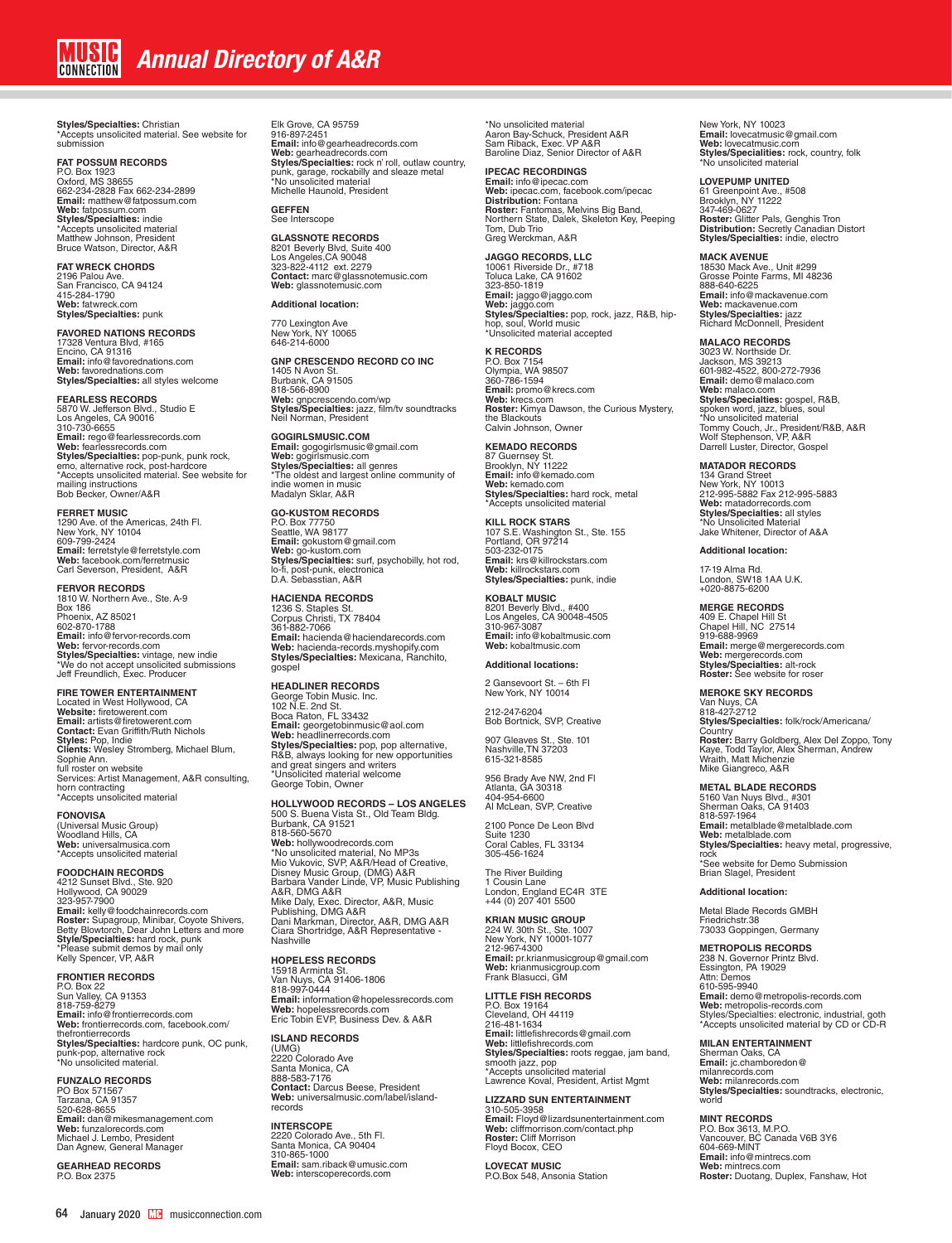**Styles/Specialties:** Christian \*Accepts unsolicited material. See website for submission

#### **FAT POSSUM RECORDS**

P.O. Box 1923 Oxford, MS 38655 662-234-2828 Fax 662-234-2899 **Email:** matthew@fatpossum.com **Web:** fatpossum.com **Styles/Specialties:** indie \*Accepts unsolicited material Matthew Johnson, President Bruce Watson, Director, A&R

**FAT WRECK CHORDS**

2196 Palou Ave. San Francisco, CA 94124 415-284-1790 **Web:** fatwreck.com **Styles/Specialties:** punk

**FAVORED NATIONS RECORDS** 17328 Ventura Blvd, #165 Encino, CA 91316 **Email:** info@favorednations.com **Web:** favorednations.com **Styles/Specialties:** all styles welcome

**FEARLESS RECORDS** 5870 W. Jefferson Blvd., Studio E Los Angeles, CA 90016 310-730-6655 **Email:** rego@fearlessrecords.com **Web:** fearlessrecords.com **Styles/Specialties:** pop-punk, punk rock, emo, alternative rock, post-hardcore \*Accepts unsolicited material. See website for mailing instructions Bob Becker, Owner/A&R

#### **FERRET MUSIC**

1290 Ave. of the Americas, 24th Fl. New York, NY 10104 609-799-2424 **Email:** ferretstyle@ferretstyle.com **Web:** facebook.com/ferretmusic Carl Severson, President, A&R

#### **FERVOR RECORDS**

1810 W. Northern Ave., Ste. A-9 Box 186 Phoenix, AZ 85021 602-870-1788 **Email:** info@fervor-records.com **Web:** fervor-records.com **Styles/Specialties:** vintage, new indie \*We do not accept unsolicited submissions Jeff Freundlich, Exec. Producer

#### **FIRE TOWER ENTERTAINMENT**

Located in West Hollywood, CA<br>**Website:** firetowerent.com<br>**Email:** artists@firetowerent.com<br>**Contact:** Evan Griffith/Ruth Nichols **Styles:** Pop, Indie **Clients:** Wesley Stromberg, Michael Blum, Sophie Ann.<br>full roster on website<br>Services: Artist Management, A&R consulting,<br>horn contracting<br>\*Accepts unsolicited material

**FONOVISA**<br>(Universal Music Group)<br>Woodland Hills, CA **Web:** universalmusica.com \*Accepts unsolicited material

**FOODCHAIN RECORDS**

4212 Sunset Blvd., Ste. 920 Hollywood, CA 90029 323-957-7900<br>**Emai**l: kelly@foodchainrecords.com<br>**Roster:** Supagroup, Minibar, Coyote Shivers,<br>Betty Blowtorch, Dear John Letters and more<br>"Please submit demos by mail only<br>"Please submit demos by mail only<br>Kelly Spencer,

**FRONTIER RECORDS<br>P.O. Box 22<br>Sun Valley, CA 91353<br>818-759-8279<br><b>Email:** info@frontierrecords.com<br>**Web:** frontierrecords.com, facebook.com/ thefrontierrecords **Styles/Specialties:** hardcore punk, OC punk,<br>punk-pop, alternative rock<br>\*No unsolicited material.

**FUNZALO RECORDS**<br>PO Box 571567<br>Tarzana, CA 91357 520-628-8655 **Email:** dan@mikesmanagement.com **Web:** funzalorecords.com Michael J. Lembo, President<br>Dan Agnew, General Manager

**GEARHEAD RECORDS** P.O. Box 2375

Elk Grove, CA 95759 916-897-2451 **Email:** info@gearheadrecords.com **Web:** gearheadrecords.com **Styles/Specialties:** rock n' roll, outlaw country, punk, garage, rockabilly and sleaze metal \*No unsolicited material Michelle Haunold, President

**GEFFEN**  See Interscope

**GLASSNOTE RECORDS** 8201 Beverly Blvd, Suite 400 Los Angeles,CA 90048 323-822-4112 ext. 2279 **Contact:** marc@glassnotemusic.com **Web:** glassnotemusic.com

**Additional location:**

770 Lexington Ave New York, NY 10065 646-214-6000

**GNP CRESCENDO RECORD CO INC** 1405 N Avon St. Burbank, CA 91505 818-566-8900 **Web:** gnpcrescendo.com/wp<br>**Styles/Specialties:** jazz, film/tv soundtracks<br>Neil Norman, President

**GOGIRLSMUSIC.COM**<br>**Email:** gogogirlsmusic.@gmail.com<br>**Web:** gogirlsmusic.com<br>**Styles/Specialties:** all genres<br>\*The oldest and largest online community of<br>indie women in music<br>Madalyn Sklar, A&R

**GO-KUSTOM RECORDS**<br>P.O. Box 77750<br>Seattle, WA 98177 **Email:** gokustom@gmail.com **Web:** go-kustom.com **Styles/Specialties:** surf, psychobilly, hot rod, lo-fi, post-punk, electronica D.A. Sebasstian, A&R

**HACIENDA RECORDS** 1236 S. Staples St. Corpus Christi, TX 78404 361-882-7066 **Email:** hacienda@haciendarecords.com **Web:** hacienda-records.myshopify.com **Styles/Specialties:** Mexicana, Ranchito, gospel

**HEADLINER RECORDS** George Tobin Music. Inc. 102 N.E. 2nd St. Boca Raton, FL 33432 **Email:** georgetobinmusic@aol.com **Web:** headlinerrecords.com **Styles/Specialties:** pop, pop alternative,<br>R&B, always looking for new opportunities<br>and great singers and writers<br>\*Unsolicited material welcome George Tobin, Owner

**HOLLYWOOD RECORDS – LOS ANGELES** 500 S. Buena Vista St., Old Team Bldg. Burbank, CA 91521 818-560-5670 **Web:** hollywoodrecords.com<br>\*No unsolicited material, No MP3s<br>Mio Vukovic, SVP, A&R/Head of Creative,<br>Disney Music Group, (DMG) A&R<br>Barbara Vander Linde, VP, Music Publishing<br>A&R, DMG A&R Mike Daly, Exec. Director, A&R, Music Publishing, DMG A&R Dani Markman, Director, A&R, DMG A&R Ciara Shortridge, A&R Representative - Nashville

#### **HOPELESS RECORDS**

15918 Arminta St. Van Nuys, CA 91406-1806 818-997-0444 **Email:** information@hopelessrecords.com **Web:** hopelessrecords.com Eric Tobin EVP, Business Dev. & A&R

### **ISLAND RECORDS**

(UMG) 2220 Colorado Ave Santa Monica, CA 888-583-7176 **Contact:** Darcus Beese, President **Web:** universalmusic.com/label/islandrecords

**INTERSCOPE**<br>2220 Colorado Ave., 5th Fl.<br>Santa Monica, CA 90404 310-865-1000 **Email:** sam.riback@umusic.com **Web:** interscoperecords.com

\*No unsolicited material Aaron Bay-Schuck, President A&R Sam Riback, Exec. VP A&R Baroline Diaz, Senior Director of A&R

**IPECAC RECORDINGS Email:** info@ipecac.com **Web:** ipecac.com, facebook.com/ipecac **Distribution:** Fontana<br>**Roster: F**antomas, Melvins Big Band,<br>Northern State, Dalek, Skeleton Key, Peeping<br>Tom, Dub Trio Greg Werckman, A&R

**JAGGO RECORDS, LLC** 10061 Riverside Dr., #718 Toluca Lake, CA 91602 323-850-1819 **Email:** jaggo@jaggo.com **Web:** jaggo.com<br>**Styles/Specialties:** pop, rock, jazz, R&B, hip-<br>hop, soul, World music<br>\*Unsolicited material accepted

**K RECORDS<br>P.O. Box 7154<br>Olympia, WA 98507<br>360-786-1594<br><b>Email:** promo@krecs.com **Web:** krecs.com **Roster:** Kimya Dawson, the Curious Mystery,<br>the Blackouts<br>Calvin Johnson, Owner

**KEMADO RECORDS** 87 Guernsey St. Brooklyn, NY 11222 **Email:** info@kemado.com **Web:** kemado.com **Styles/Specialties:** hard rock, metal \*Accepts unsolicited material

**KILL ROCK STARS** 107 S.E. Washington St., Ste. 155 Portland, OR 97214 503-232-0175 **Email:** krs@killrockstars.com **Web:** killrockstars.com **Styles/Specialties:** punk, indie

**KOBALT MUSIC** 8201 Beverly Blvd., #400<br>Los Angeles, CA 90048-4505<br>310-967-3087<br>**Email:** info@kobaltmusic.com<br>**Web:** kobaltmusic.com

#### **Additional locations:**

2 Gansevoort St. – 6th Fl New York, NY 10014

212-247-6204 Bob Bortnick, SVP, Creative

907 Gleaves St., Ste. 101 Nashville,TN 37203 615-321-8585

956 Brady Ave NW, 2nd Fl Atlanta, GA 30318 404-954-6600 Al McLean, SVP, Creative

2100 Ponce De Leon Blvd

Suite 1230 Coral Cables, FL 33134 305-456-1624 The River Building

1 Cousin Lane London, England EC4R 3TE +44 (0) 207 401 5500

**KRIAN MUSIC GROUP**

224 W. 30th St., Ste. 1007<br>New York, NY 10001-1077<br>212-967-4300<br>**Email:** pr.krianmusicgroup@gmail.com **Web:** krianmusicgroup.com Frank Blasucci, GM

**LITTLE FISH RECORDS** P.O. Box 19164 Cleveland, OH 44119 216-481-1634 **Email:** littlefishrecords@gmail.com<br>**Web:** littlefishrecords.com<br>**Styles/Specialties:** roots reggae, jam band, smooth jazz, pop \*Accepts unsolicited material Lawrence Koval, President, Artist Mgmt

**LIZZARD SUN ENTERTAINMENT** 310-505-3958<br>**Email:** Floyd@lizardsunentertainment.com<br>**Web:** cliffmorrison.com/contact.php<br>**Roster:** Cliff Morrison Floyd Bocox, CEO

**LOVECAT MUSIC** P.O.Box 548, Ansonia Station New York, NY 10023 **Email:** lovecatmusic@gmail.com **Web:** lovecatmusic.com<br>**Styles/Specialities:** rock, country, folk<br>\*No unsolicited material

LOVEPUMP UNITED<br>61 Greenpoint Ave., #508<br>Brooklyn, NY 11222<br>**A347-469-0627**<br>**Roster:** Glitter Pals, Genghis Tron<br>**Distribution:** Secretly Canadian Distort<br>**Styles/Specialties:** indie, electro

**MACK AVENUE** 18530 Mack Ave., Unit #299 Grosse Pointe Farms, MI 48236 888-640-6225 **Email:** info@mackavenue.com **Web:** mackavenue.com **Styles/Specialties:** jazz Richard McDonnell, President

MALACO RECORDS<br>
MALACO RECORDS<br>
3023 W. Northside Dr.<br>
Jackson, MS 39213<br>
Email: demo@malaco.com<br>
Web: malaco.com<br>
Styles/Specialties: gospel, R&B,<br>
spoken word, jazz, blues, soul<br>
Tho unsolicited material<br>
Tommy Couch, Jr

**MATADOR RECORDS**  134 Grand Street New York, NY 10013 212-995-5882 Fax 212-995-5883 **Web:** matadorrecords.com<br>**Styles/Specialties:** all styles<br>\*No Unsolicited Material<br>Jake Whitener, Director of A&A

**Additional location:**

17-19 Alma Rd. London, SW18 1AA U.K. +020-8875-6200

**MERGE RECORDS** 409 E. Chapel Hill St Chapel Hill, NC 27514 919-688-9969 **Email:** merge@mergerecords.com **Web:** mergerecords.com **Styles/Specialties:** alt-rock **Roster:** See website for roser

### **MEROKE SKY RECORDS**

Van Nuys, CA 818-427-2712 **Styles/Specialties:** folk/rock/Americana/ Country<br>**Roster:** Barry Goldberg, Alex Del Zoppo, Tony<br>**Kaye, Todd Taylor, Alex Sherman, Andrew<br>Wraith, Matt Michenzie** Mike Giangreco, A&R

**METAL BLADE RECORDS**

5160 Van Nuys Blvd., #301<br>Sherman Oaks, CA 91403<br>818-597-1964<br>**Email:** metalblade@metalblade.com **Web:** metalblade.com **Styles/Specialties:** heavy metal, progressive, rock

\*See website for Demo Submission Brian Slagel, President

#### **Additional location:**

Metal Blade Records GMBH Friedrichstr.38 73033 Goppingen, Germany

**METROPOLIS RECORDS**<br>238 N. Governor Printz Blvd.<br>Essington, PA 19029<br>Attn: Demos<br>610-595-9940 **Email:** demo@metropolis-records.com **Web:** metropolis-records.com Styles/Specialties: electronic, industrial, goth \*Accepts unsolicited material by CD or CD-R

**MILAN ENTERTAINMENT**  Sherman Oaks, CA **Email:** jc.chamboredon@ milanrecords.com **Web:** milanrecords.com **Styles/Specialties:** soundtracks, electronic, world

**MINT RECORDS** P.O. Box 3613, M.P.O. Vancouver, BC Canada V6B 3Y6 604-669-MINT **Email:** info@mintrecs.com **Web:** mintrecs.com **Roster:** Duotang, Duplex, Fanshaw, Hot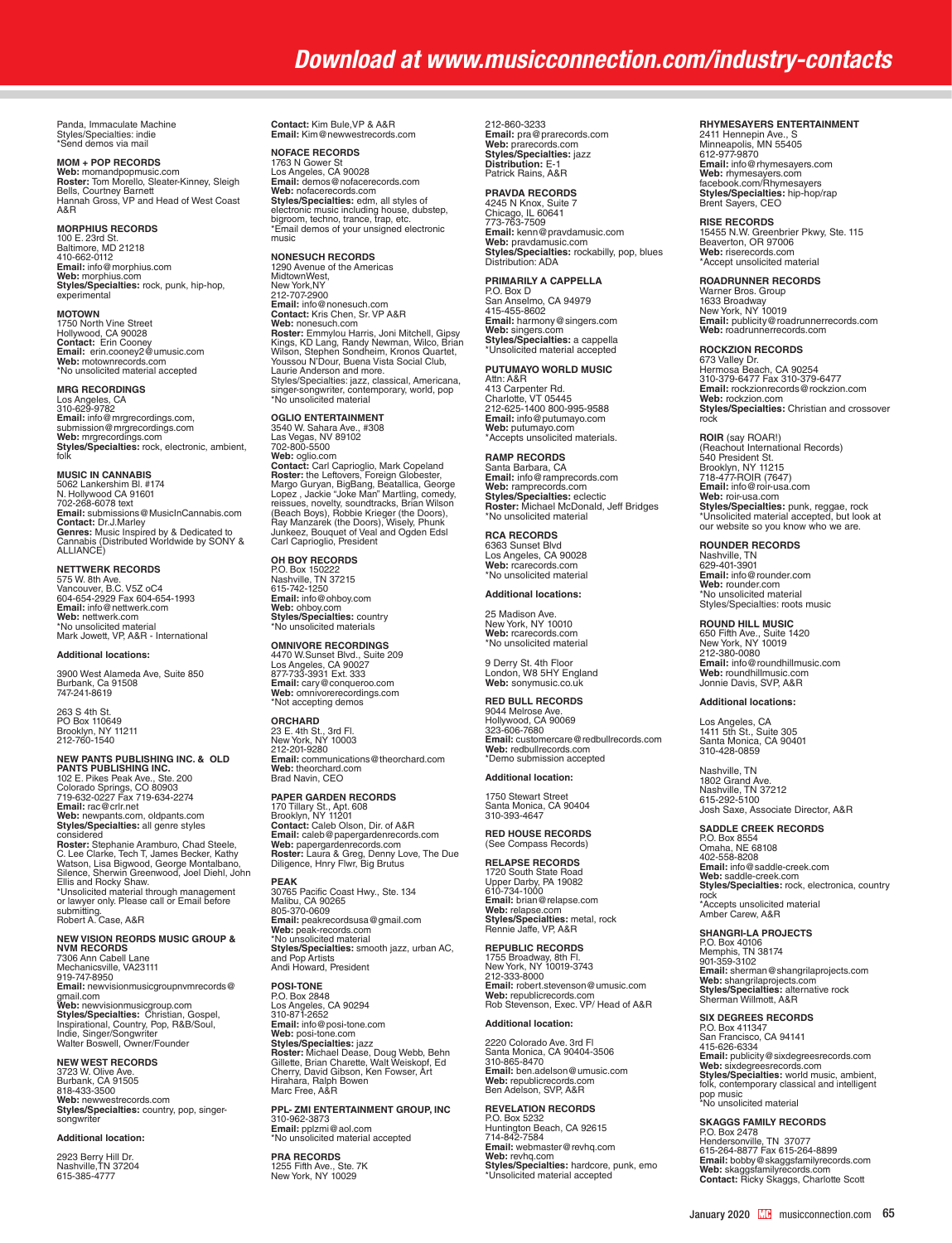## *Download at www.musicconnection.com/industry-contacts*

Panda, Immaculate Machine Styles/Specialties: indie \*Send demos via mail

**MOM + POP RECORDS**

**Web:** momandpopmusic.com<br>**Roster:** Tom Morello, Sleater-Kinney, Sleigh<br>Bells, Courtney Barnett<br>Hannah Gross, VP and Head of West Coast A&R

#### **MORPHIUS RECORDS**

100 E. 23rd St. Baltimore, MD 21218 410-662-0112 **Email:** info@morphius.com **Web:** morphius.com **Styles/Specialties:** rock, punk, hip-hop, experimental

**MOTOWN** 1750 North Vine Street Hollywood, CA 90028 **Contact:** Erin Cooney **Email:** erin.cooney2@umusic.com **Web:** motownrecords.com \*No unsolicited material accepted

#### **MRG RECORDINGS**

Los Angeles, CA<br>310-629-9782 310-629-9782<br>**Email:** info@mrgrecordings.com,<br>submission@mrgrecordings.com<br>**Web:** mrgrecordings.com<br>**Styles/Specialties:** rock, electronic, ambient,<br>folk

**MUSIC IN CANNABIS** 5062 Lankershim Bl. #174 N. Hollywood CA 91601 702-268-6078 text **Email:** submissions@MusicInCannabis.com **Contact:** Dr.J.Marley **Genres:** Music Inspired by & Dedicated to Cannabis (Distributed Worldwide by SONY & ALLIANCE)

**NETTWERK RECORDS**<br>575 W. 8th Ave.<br>Vancouver, B.C. V5Z oC4<br>604-654-2929 Fax 604-654-1993 **Email:** info@nettwerk.com **Web:** nettwerk.com \*No unsolicited material Mark Jowett, VP, A&R - International

#### **Additional locations:**

3900 West Alameda Ave, Suite 850 Burbank, Ca 91508 747-241-8619

263 S 4th St. PO Box 110649 Brooklyn, NY 11211 212-760-1540

## **NEW PANTS PUBLISHING INC. & OLD<br><b>PANTS PUBLISHING INC.**<br>102 E. Pikes Peak Ave., Ste. 200<br>Colorado Springs, CO 80903<br>719-632-0227 Fax 719-634-2274

**Email:** rac@crlr.net **Web:** newpants.com, oldpants.com **Styles/Specialties:** all genre styles considered Constanting Aramburo, Chad Steele,<br>**Roster:** Stephanie Aramburo, Chad Steele,<br>C. Lee Clarke, Tech T, James Becker, Kathy<br>Wiatson, Lisa Bigwood, George Montalbano,<br>Silence, Sherwin Greenwood, Joel Diehl, John<br>Lil submitting. Robert A. Case, A&R

**NEW VISION REORDS MUSIC GROUP & NVM RECORDS** 7306 Ann Cabell Lane Mechanicsville, VA23111 919-747-8950 **Email:** newvisionmusicgroupnvmrecords@

g**mail.com**<br>**Web: newvisionmusicgroup.com<br><b>Styles/Specialties:** Christian, Gospel,<br>Inspirational, Country, Pop, R&B/Soul,<br>Indie, Singer/Songwriter<br>Walter Boswell, Owner/Founder

**NEW WEST RECORDS** 3723 W. Olive Ave. Burbank, CA 91505 818-433-3500 **Web:** newwestrecords.com

**Styles/Specialties:** country, pop, singersongwrite

## **Additional location:**

2923 Berry Hill Dr. Nashville,TN 37204 615-385-4777 **Contact:** Kim Bule,VP & A&R **Email:** Kim@newwestrecords.com

NOFACE RECORDS<br>1763 N Gower St<br>Los Angeles, CA 90028<br>Email: demos@nofacerecords.com<br>Web: nofacerecords.com<br>Web: mofacerecords.com, all styles of<br>electronic music including house, dubstep,<br>bigroom, techno, trance, trap, etc

**NONESUCH RECORDS**  1290 Avenue of the Americas MidtownWest, New York,NY 212-707-2900 **Email:** info@nonseuch.com<br>**Contact:** Kris Chen, Sr. VP A&R<br>**Web:** nonesuch.com<br>**Roster:** Emmylou Harris, Joni Mitchell, Gipsy<br>Kings, KD Lang, Randy Newman, Wilco, Brian<br>Wilson, Stephen Sondheim, Kronos Quartet,<br>Youssou N' Laurie Anderson and more. Styles/Specialties: jazz, classical, Americana, singer-songwriter, contemporary, world, pop \*No unsolicited material

OGLIO ENTERTAINMENT<br>3540 W. Sahara Ave., #308<br>702-800-5500<br>Web: oglio.com<br>Web: oglio.com<br>2010-100 Web: oglio.com<br>**Roster:** the Leftovers, Foreign Globester,<br>**Margo Guryan, BigBang, Beatallica, George**<br>Lopez , Jackie "Joke

**OH BOY RECORDS**<br>P.O. Box 150222<br>Nashville, TN 37215<br>615-742-1250 **Email:** info@ohboy.com **Web:** ohboy.com **Styles/Specialties:** country \*No unsolicited materials

**OMNIVORE RECORDINGS**<br>4470 W.Sunset Blvd., Suite 209<br>Los Angeles, CA 90027<br>877-733-3931 Ext. 333 **Email:** cary@conqueroo.com **Web:** omnivorerecordings.com \*Not accepting demos

**ORCHARD** 23 E. 4th St., 3rd Fl.<br>New York, NY 10003<br>212-201-9280<br>**Email:** communications@theorchard.com **Web:** theorchard.com Brad Navin, CEO

**PAPER GARDEN RECORDS** 170 Tillary St., Apt. 608 Brooklyn, NY 11201 **Contact:** Caleb Olson, Dir. of A&R **Email:** caleb@papergardenrecords.com<br>**Web:** papergardenrecords.com<br>**Roster:** Laura & Greg, Denny Love, The Due<br>Diligence, Hnry Flwr, Big Brutus

**PEAK** 30765 Pacific Coast Hwy., Ste. 134 Malibu, CA 90265 805-370-0609 **Email:** peakrecordsusa@gmail.com **Web:** peak-records.com \*No unsolicited material **Styles/Specialties:** smooth jazz, urban AC,<br>and Pop Artists<br>Andi Howard, President

**POSI-TONE** P.O. Box 2848 Los Angeles, CA 90294 310-871-2652 **Email:** info@posi-tone.com **Web: posi-tone.com**<br>**Styles/Specialties:** jazz<br>**Roster:** Michael Dease, Doug Webb, Behn<br>Gillette, Brian Charette, Walt Weiskopf, Ed<br>Hirahara, Ralph Bowen<br>Hirahara, Ralph Bowen<br>Marc Free, A&R

**PPL- ZMI ENTERTAINMENT GROUP, INC** 310-962-3873 **Email:** pplzmi@aol.com \*No unsolicited material accepted

**PRA RECORDS** 1255 Fifth Ave., Ste. 7K New York, NY 10029 212-860-3233 **Email:** pra@prarecords.com **Web:** prarecords.com **Styles/Specialties:** jazz **Distribution:** E-1 Patrick Rains, A&R

## **PRAVDA RECORDS<br>4245 N Knox, Suite 7<br>Chicago, IL 60641<br>773-763-7509<br><b>Email:** kenn@pravdamusic.com

**Web:** pravdamusic.com **Styles/Specialties:** rockabilly, pop, blues Distribution: ADA

**PRIMARILY A CAPPELLA**

P.O. Box D San Anselmo, CA 94979 415-455-8602 **Email:** harmony@singers.com **Web:** singers.com **Styles/Specialties:** a cappella \*Unsolicited material accepted

## **PUTUMAYO WORLD MUSIC**

Attn: A&R 413 Carpenter Rd. Charlotte, VT 05445 212-625-1400 800-995-9588 **Email:** info@putumayo.com **Web:** putumayo.com \*Accepts unsolicited materials.

**RAMP RECORDS** Santa Barbara, CA **Email:** info@ramprecords.com **Web:** ramprecords.com **Styles/Specialties:** eclectic **Roster:** Michael McDonald, Jeff Bridges \*No unsolicited material

**RCA RECORDS**  6363 Sunset Blvd Los Angeles, CA 90028 **Web:** rcarecords.com \*No unsolicited material

## **Additional locations:**

25 Madison Ave. New York, NY 10010 **Web:** rcarecords.com \*No unsolicited material

9 Derry St. 4th Floor London, W8 5HY England **Web:** sonymusic.co.uk

**RED BULL RECORDS** 9044 Melrose Ave. Hollywood, CA 90069 323-606-7680 **Email:** customercare@redbullrecords.com **Web:** redbullrecords.com \*Demo submission accepted

#### **Additional location:**

1750 Stewart Street Santa Monica, CA 90404 310-393-4647

**RED HOUSE RECORDS** (See Compass Records)

**RELAPSE RECORDS** 1720 South State Road Upper Darby, PA 19082 610-734-1000 **Email:** brian@relapse.com **Web:** relapse.com<br>**Styles/Specialties:** metal, rock<br>Rennie Jaffe, VP, A&R

**REPUBLIC RECORDS** 1755 Broadway, 8th Fl. New York, NY 10019-3743 212-333-8000 **Email:** robert.stevenson@umusic.com **Web:** republicrecords.com Web: republicrecords.com<br>Rob Stevenson, Exec. VP/ Head of A&R

#### **Additional location:**

2220 Colorado Ave. 3rd Fl Santa Monica, CA 90404-3506 310-865-8470 **Email:** ben.adelson@umusic.com<br>**Web:** republicrecords.com<br>Ben Adelson, SVP, A&R

**REVELATION RECORDS<br>P.O. Box 5232<br>Huntington Beach, CA 92615<br>714-842-7584<br><b>Email:** webmaster@revhq.com<br>**Web:** revhq.com **Styles/Specialties:** hardcore, punk, emo \*Unsolicited material accepted

#### **RHYMESAYERS ENTERTAINMENT**

2411 Hennepin Ave., S Minneapolis, MN 55405 612-977-9870 **Email:** info@rhymesayers.com **Web:** rhymesayers.com facebook.com/Rhymesayers **Styles/Specialties:** hip-hop/rap Brent Sayers, CEO

**RISE RECORDS** 15455 N.W. Greenbrier Pkwy, Ste. 115 Beaverton, OR 97006 **Web:** riserecords.com \*Accept unsolicited material

#### **ROADRUNNER RECORDS**

Warner Bros. Group 1633 Broadway New York, NY 10019 **Email:** publicity@roadrunnerrecords.com **Web:** roadrunnerrecords.com

#### **ROCKZION RECORDS**

673 Valley Dr. Hermosa Beach, CA 90254 310-379-6477 Fax 310-379-6477 **Email:** rockzionrecords@rockzion.com **Web:** rockzion.com<br>**Styles/Specialties:** Christian and crossover<br>rock

**ROIR** (say ROAR!)<br>(Reachout International Records)<br>540 President St. Brooklyn, NY 11215 718-477-ROIR (7647) **Email:** info@roir-usa.com **Web:** roir-usa.com **Styles/Specialties:** punk, reggae, rock \*Unsolicited material accepted, but look at our website so you know who we are.

**ROUNDER RECORDS**<br>Nashville, TN<br>629-401-3901 **Email:** info@rounder.com **Web:** rounder.com \*No unsolicited material Styles/Specialties: roots music

## **ROUND HILL MUSIC**<br>650 Fifth Ave., Suite 1420

650 Fifth Ave., Suite 1420 New York, NY 10019 212-380-0080 **Email:** info@roundhillmusic.com **Web:** roundhillmusic.com Jonnie Davis, SVP, A&R

#### **Additional locations:**

Los Angeles, CA 1411 5th St., Suite 305 Santa Monica, CA 90401 310-428-0859

Nashville, TN 1802 Grand Ave. Nashville, TN 37212 615-292-5100 Josh Saxe, Associate Director, A&R

**SADDLE CREEK RECORDS** P.O. Box 8554 Omaha, NE 68108 402-558-8208 **Email:** info@saddle-creek.com Web: saddle-creek.com **Styles/Specialties:** rock, electronica, country rock \*Accepts unsolicited material Amber Carew, A&R

**SHANGRI-LA PROJECTS** P.O. Box 40106 Memphis, TN 38174 901-359-3102 **Email:** sherman@shangrilaprojects.com **Web:** shangrilaprojects.com **Styles/Specialties:** alternative rock Sherman Willmott, A&R

**SIX DEGREES RECORDS** P.O. Box 411347 San Francisco, CA 94141 415-626-6334<br>**Email:** publicity@sixdegreesrecords.com<br>**Web:** sixdegreesrecords.com<br>**Styles/Specialties:** world music, ambient,<br>folk, contemporary classical and intelligent<br><sup>1</sup>No unsolicited material

**SKAGGS FAMILY RECORDS**<br>P.O. Box 2478<br>Hendersonville, TN 37077 615-264-8877 Fax 615-264-8899<br>**Emai**l: bobby@skaggsfamilyrecords.com<br>**Web:** skaggsfamilyrecords.com<br>**Contact:** Ricky Skaggs, Charlotte Scott